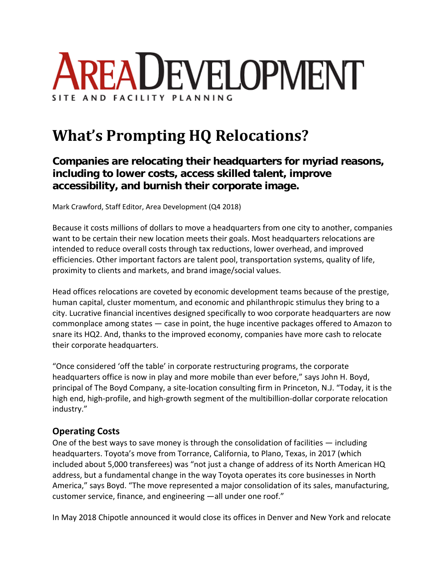

# **What's Prompting HQ Relocations?**

## **Companies are relocating their headquarters for myriad reasons, including to lower costs, access skilled talent, improve accessibility, and burnish their corporate image.**

Mark Crawford, Staff Editor, Area Development (Q4 2018)

Because it costs millions of dollars to move a headquarters from one city to another, companies want to be certain their new location meets their goals. Most headquarters relocations are intended to reduce overall costs through tax reductions, lower overhead, and improved efficiencies. Other important factors are talent pool, transportation systems, quality of life, proximity to clients and markets, and brand image/social values.

Head offices relocations are coveted by economic development teams because of the prestige, human capital, cluster momentum, and economic and philanthropic stimulus they bring to a city. Lucrative financial incentives designed specifically to woo corporate headquarters are now commonplace among states — case in point, the huge incentive packages offered to Amazon to snare its HQ2. And, thanks to the improved economy, companies have more cash to relocate their corporate headquarters.

"Once considered 'off the table' in corporate restructuring programs, the corporate headquarters office is now in play and more mobile than ever before," says John H. Boyd, principal of The Boyd Company, a site‐location consulting firm in Princeton, N.J. "Today, it is the high end, high-profile, and high-growth segment of the multibillion-dollar corporate relocation industry."

## **Operating Costs**

One of the best ways to save money is through the consolidation of facilities  $-$  including headquarters. Toyota's move from Torrance, California, to Plano, Texas, in 2017 (which included about 5,000 transferees) was "not just a change of address of its North American HQ address, but a fundamental change in the way Toyota operates its core businesses in North America," says Boyd. "The move represented a major consolidation of its sales, manufacturing, customer service, finance, and engineering —all under one roof."

In May 2018 Chipotle announced it would close its offices in Denver and New York and relocate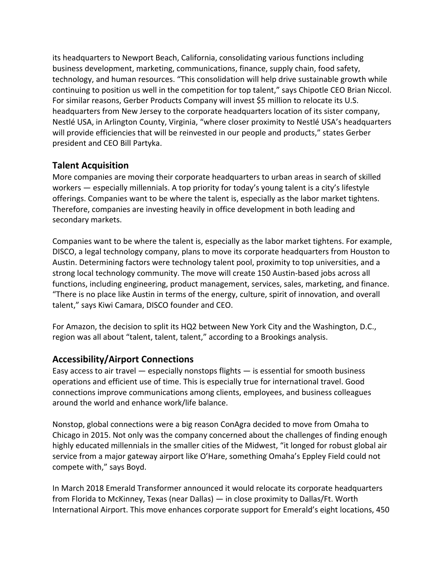its headquarters to Newport Beach, California, consolidating various functions including business development, marketing, communications, finance, supply chain, food safety, technology, and human resources. "This consolidation will help drive sustainable growth while continuing to position us well in the competition for top talent," says Chipotle CEO Brian Niccol. For similar reasons, Gerber Products Company will invest \$5 million to relocate its U.S. headquarters from New Jersey to the corporate headquarters location of its sister company, Nestlé USA, in Arlington County, Virginia, "where closer proximity to Nestlé USA's headquarters will provide efficiencies that will be reinvested in our people and products," states Gerber president and CEO Bill Partyka.

#### **Talent Acquisition**

More companies are moving their corporate headquarters to urban areas in search of skilled workers — especially millennials. A top priority for today's young talent is a city's lifestyle offerings. Companies want to be where the talent is, especially as the labor market tightens. Therefore, companies are investing heavily in office development in both leading and secondary markets.

Companies want to be where the talent is, especially as the labor market tightens. For example, DISCO, a legal technology company, plans to move its corporate headquarters from Houston to Austin. Determining factors were technology talent pool, proximity to top universities, and a strong local technology community. The move will create 150 Austin‐based jobs across all functions, including engineering, product management, services, sales, marketing, and finance. "There is no place like Austin in terms of the energy, culture, spirit of innovation, and overall talent," says Kiwi Camara, DISCO founder and CEO.

For Amazon, the decision to split its HQ2 between New York City and the Washington, D.C., region was all about "talent, talent, talent," according to a Brookings analysis.

## **Accessibility/Airport Connections**

Easy access to air travel — especially nonstops flights — is essential for smooth business operations and efficient use of time. This is especially true for international travel. Good connections improve communications among clients, employees, and business colleagues around the world and enhance work/life balance.

Nonstop, global connections were a big reason ConAgra decided to move from Omaha to Chicago in 2015. Not only was the company concerned about the challenges of finding enough highly educated millennials in the smaller cities of the Midwest, "it longed for robust global air service from a major gateway airport like O'Hare, something Omaha's Eppley Field could not compete with," says Boyd.

In March 2018 Emerald Transformer announced it would relocate its corporate headquarters from Florida to McKinney, Texas (near Dallas) — in close proximity to Dallas/Ft. Worth International Airport. This move enhances corporate support for Emerald's eight locations, 450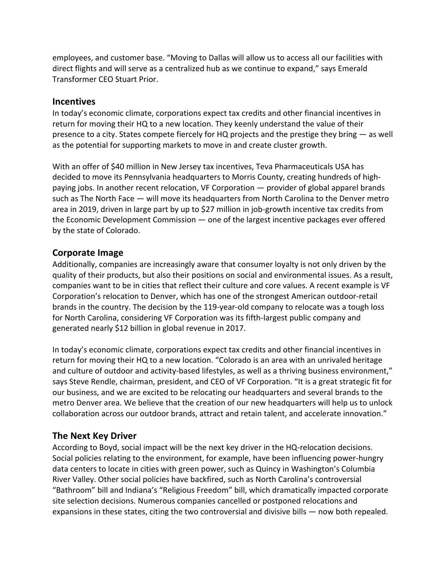employees, and customer base. "Moving to Dallas will allow us to access all our facilities with direct flights and will serve as a centralized hub as we continue to expand," says Emerald Transformer CEO Stuart Prior.

#### **Incentives**

In today's economic climate, corporations expect tax credits and other financial incentives in return for moving their HQ to a new location. They keenly understand the value of their presence to a city. States compete fiercely for HQ projects and the prestige they bring — as well as the potential for supporting markets to move in and create cluster growth.

With an offer of \$40 million in New Jersey tax incentives, Teva Pharmaceuticals USA has decided to move its Pennsylvania headquarters to Morris County, creating hundreds of high‐ paying jobs. In another recent relocation, VF Corporation — provider of global apparel brands such as The North Face — will move its headquarters from North Carolina to the Denver metro area in 2019, driven in large part by up to \$27 million in job‐growth incentive tax credits from the Economic Development Commission — one of the largest incentive packages ever offered by the state of Colorado.

#### **Corporate Image**

Additionally, companies are increasingly aware that consumer loyalty is not only driven by the quality of their products, but also their positions on social and environmental issues. As a result, companies want to be in cities that reflect their culture and core values. A recent example is VF Corporation's relocation to Denver, which has one of the strongest American outdoor‐retail brands in the country. The decision by the 119‐year‐old company to relocate was a tough loss for North Carolina, considering VF Corporation was its fifth‐largest public company and generated nearly \$12 billion in global revenue in 2017.

In today's economic climate, corporations expect tax credits and other financial incentives in return for moving their HQ to a new location. "Colorado is an area with an unrivaled heritage and culture of outdoor and activity-based lifestyles, as well as a thriving business environment," says Steve Rendle, chairman, president, and CEO of VF Corporation. "It is a great strategic fit for our business, and we are excited to be relocating our headquarters and several brands to the metro Denver area. We believe that the creation of our new headquarters will help us to unlock collaboration across our outdoor brands, attract and retain talent, and accelerate innovation."

## **The Next Key Driver**

According to Boyd, social impact will be the next key driver in the HQ‐relocation decisions. Social policies relating to the environment, for example, have been influencing power‐hungry data centers to locate in cities with green power, such as Quincy in Washington's Columbia River Valley. Other social policies have backfired, such as North Carolina's controversial "Bathroom" bill and Indiana's "Religious Freedom" bill, which dramatically impacted corporate site selection decisions. Numerous companies cancelled or postponed relocations and expansions in these states, citing the two controversial and divisive bills — now both repealed.